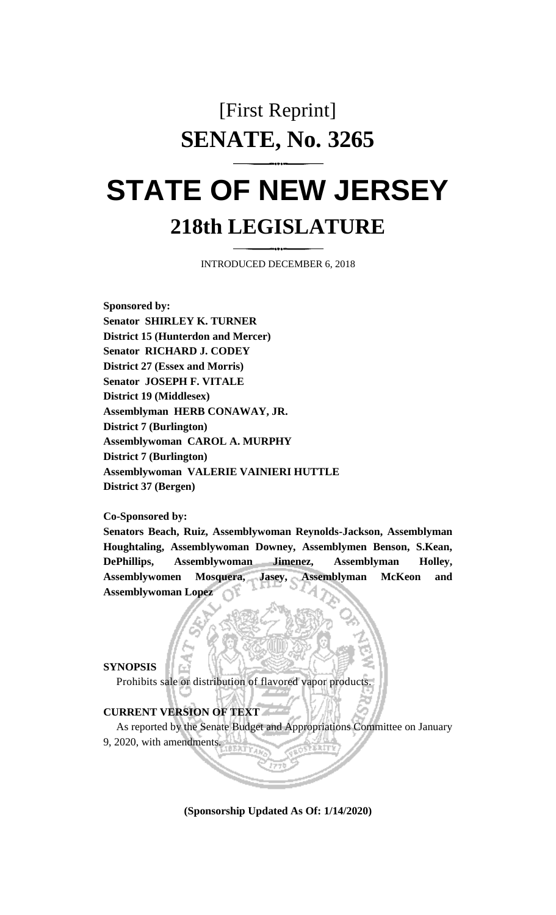## [First Reprint] **SENATE, No. 3265**

## **STATE OF NEW JERSEY 218th LEGISLATURE**

INTRODUCED DECEMBER 6, 2018

**Sponsored by: Senator SHIRLEY K. TURNER District 15 (Hunterdon and Mercer) Senator RICHARD J. CODEY District 27 (Essex and Morris) Senator JOSEPH F. VITALE District 19 (Middlesex) Assemblyman HERB CONAWAY, JR. District 7 (Burlington) Assemblywoman CAROL A. MURPHY District 7 (Burlington) Assemblywoman VALERIE VAINIERI HUTTLE District 37 (Bergen)**

**Co-Sponsored by:**

**Senators Beach, Ruiz, Assemblywoman Reynolds-Jackson, Assemblyman Houghtaling, Assemblywoman Downey, Assemblymen Benson, S.Kean, DePhillips, Assemblywoman Jimenez, Assemblyman Holley, Assemblywomen Mosquera, Jasey, Assemblyman McKeon and Assemblywoman Lopez**

## **SYNOPSIS**

Prohibits sale or distribution of flavored vapor products.

## **CURRENT VERSION OF TEXT**

As reported by the Senate Budget and Appropriations Committee on January

9, 2020, with amendments.

**(Sponsorship Updated As Of: 1/14/2020)**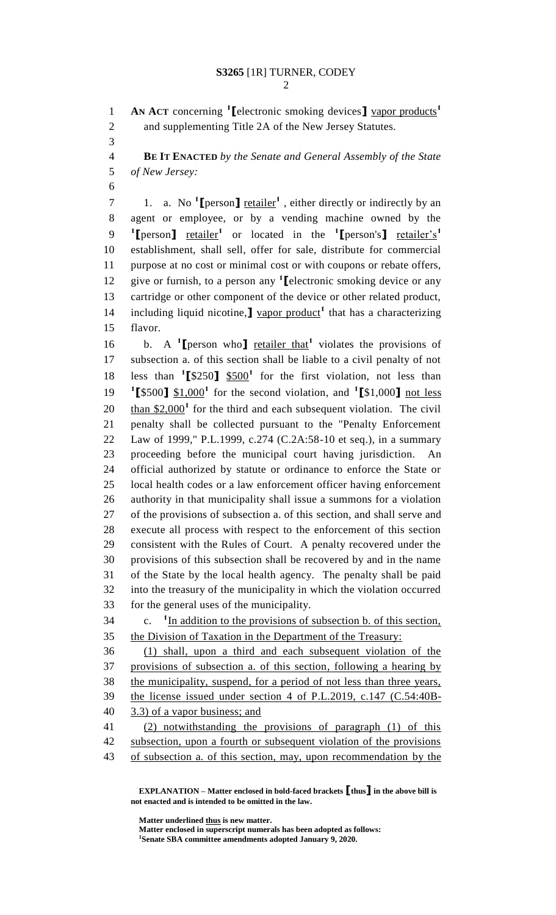**AN ACT** concerning **<sup>1</sup> [**electronic smoking devices**]** vapor products**<sup>1</sup>** and supplementing Title 2A of the New Jersey Statutes.

 **BE IT ENACTED** *by the Senate and General Assembly of the State of New Jersey:*

1. a. No **<sup>1</sup> [**person**]** retailer**<sup>1</sup>** , either directly or indirectly by an agent or employee, or by a vending machine owned by the **[**person**]** retailer**<sup>1</sup>** or located in the **<sup>1</sup> [**person's**]** retailer's**<sup>1</sup>** establishment, shall sell, offer for sale, distribute for commercial purpose at no cost or minimal cost or with coupons or rebate offers, 12 give or furnish, to a person any <sup>1</sup> [electronic smoking device or any cartridge or other component of the device or other related product, 14 including liquid nicotine, <u>J vapor product</u><sup>1</sup> that has a characterizing flavor.

16 b. A <sup>1</sup>**I** person who **]** retailer that<sup>1</sup> violates the provisions of subsection a. of this section shall be liable to a civil penalty of not 18 less than  $\binom{1}{3}$   $\frac{1}{3}$   $\frac{500}{1}$  for the first violation, not less than **[**\$500**]** \$1,000**<sup>1</sup>** for the second violation, and **<sup>1</sup> [**\$1,000**]** not less than  $$2,000$ <sup>1</sup> for the third and each subsequent violation. The civil penalty shall be collected pursuant to the "Penalty Enforcement Law of 1999," P.L.1999, c.274 (C.2A:58-10 et seq.), in a summary proceeding before the municipal court having jurisdiction. An official authorized by statute or ordinance to enforce the State or local health codes or a law enforcement officer having enforcement authority in that municipality shall issue a summons for a violation of the provisions of subsection a. of this section, and shall serve and execute all process with respect to the enforcement of this section consistent with the Rules of Court. A penalty recovered under the provisions of this subsection shall be recovered by and in the name of the State by the local health agency. The penalty shall be paid into the treasury of the municipality in which the violation occurred for the general uses of the municipality.

 $\mathbf{c}$ . c.  $1$  In addition to the provisions of subsection b. of this section, the Division of Taxation in the Department of the Treasury:

 (1) shall, upon a third and each subsequent violation of the provisions of subsection a. of this section, following a hearing by the municipality, suspend, for a period of not less than three years, the license issued under section 4 of P.L.2019, c.147 (C.54:40B-3.3) of a vapor business; and

 (2) notwithstanding the provisions of paragraph (1) of this subsection, upon a fourth or subsequent violation of the provisions of subsection a. of this section, may, upon recommendation by the

**EXPLANATION – Matter enclosed in bold-faced brackets [thus] in the above bill is not enacted and is intended to be omitted in the law.**

**Matter underlined thus is new matter.**

**Matter enclosed in superscript numerals has been adopted as follows: Senate SBA committee amendments adopted January 9, 2020.**